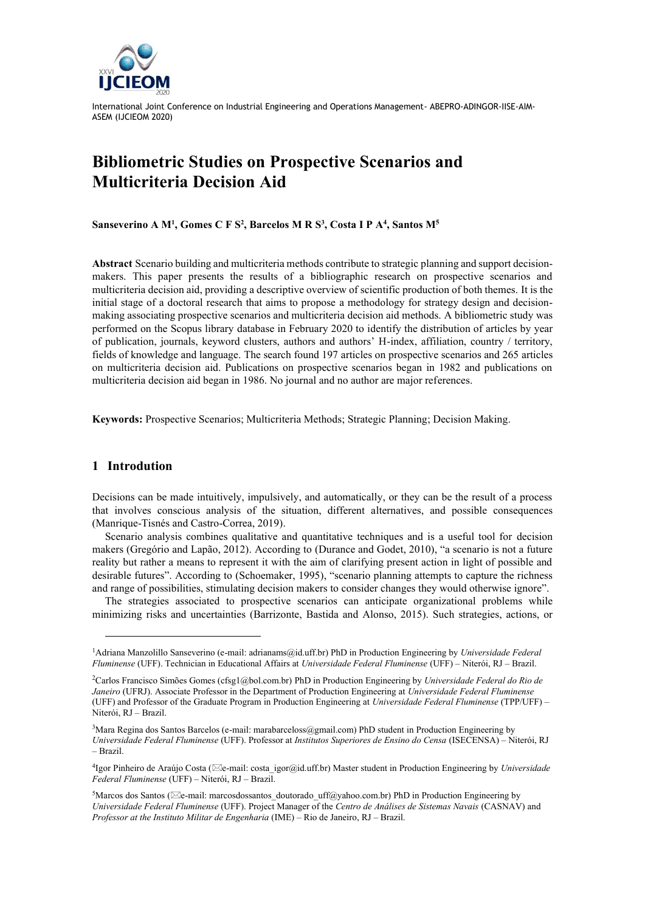

# **Bibliometric Studies on Prospective Scenarios and Multicriteria Decision Aid**

**Sanseverino A M<sup>1</sup> , Gomes C F S<sup>2</sup> , Barcelos M R S<sup>3</sup> , Costa I P A<sup>4</sup> , Santos M<sup>5</sup>**

**Abstract** Scenario building and multicriteria methods contribute to strategic planning and support decisionmakers. This paper presents the results of a bibliographic research on prospective scenarios and multicriteria decision aid, providing a descriptive overview of scientific production of both themes. It is the initial stage of a doctoral research that aims to propose a methodology for strategy design and decisionmaking associating prospective scenarios and multicriteria decision aid methods. A bibliometric study was performed on the Scopus library database in February 2020 to identify the distribution of articles by year of publication, journals, keyword clusters, authors and authors' H-index, affiliation, country / territory, fields of knowledge and language. The search found 197 articles on prospective scenarios and 265 articles on multicriteria decision aid. Publications on prospective scenarios began in 1982 and publications on multicriteria decision aid began in 1986. No journal and no author are major references.

**Keywords:** Prospective Scenarios; Multicriteria Methods; Strategic Planning; Decision Making.

#### **1 Introdution**

Decisions can be made intuitively, impulsively, and automatically, or they can be the result of a process that involves conscious analysis of the situation, different alternatives, and possible consequences (Manrique-Tisnés and Castro-Correa, 2019).

Scenario analysis combines qualitative and quantitative techniques and is a useful tool for decision makers (Gregório and Lapão, 2012). According to (Durance and Godet, 2010), "a scenario is not a future reality but rather a means to represent it with the aim of clarifying present action in light of possible and desirable futures". According to (Schoemaker, 1995), "scenario planning attempts to capture the richness and range of possibilities, stimulating decision makers to consider changes they would otherwise ignore".

The strategies associated to prospective scenarios can anticipate organizational problems while minimizing risks and uncertainties (Barrizonte, Bastida and Alonso, 2015). Such strategies, actions, or

<sup>1</sup>Adriana Manzolillo Sanseverino (e-mail: adrianams@id.uff.br) PhD in Production Engineering by *Universidade Federal Fluminense* (UFF). Technician in Educational Affairs at *Universidade Federal Fluminense* (UFF) – Niterói, RJ – Brazil.

<sup>2</sup>Carlos Francisco Simões Gomes (cfsg1@bol.com.br) PhD in Production Engineering by *Universidade Federal do Rio de Janeiro* (UFRJ). Associate Professor in the Department of Production Engineering at *Universidade Federal Fluminense* (UFF) and Professor of the Graduate Program in Production Engineering at *Universidade Federal Fluminense* (TPP/UFF) – Niterói, RJ – Brazil.

<sup>&</sup>lt;sup>3</sup>Mara Regina dos Santos Barcelos (e-mail: marabarceloss@gmail.com) PhD student in Production Engineering by *Universidade Federal Fluminense* (UFF). Professor at *Institutos Superiores de Ensino do Censa* (ISECENSA) – Niterói, RJ – Brazil.

<sup>&</sup>lt;sup>4</sup>Igor Pinheiro de Araújo Costa ( $\boxtimes$ e-mail: costa igor@id.uff.br) Master student in Production Engineering by *Universidade Federal Fluminense* (UFF) – Niterói, RJ – Brazil.

<sup>&</sup>lt;sup>5</sup>Marcos dos Santos ( $\boxtimes$ e-mail: marcosdossantos doutorado uff@yahoo.com.br) PhD in Production Engineering by *Universidade Federal Fluminense* (UFF). Project Manager of the *Centro de Análises de Sistemas Navais* (CASNAV) and *Professor at the Instituto Militar de Engenharia* (IME) – Rio de Janeiro, RJ – Brazil.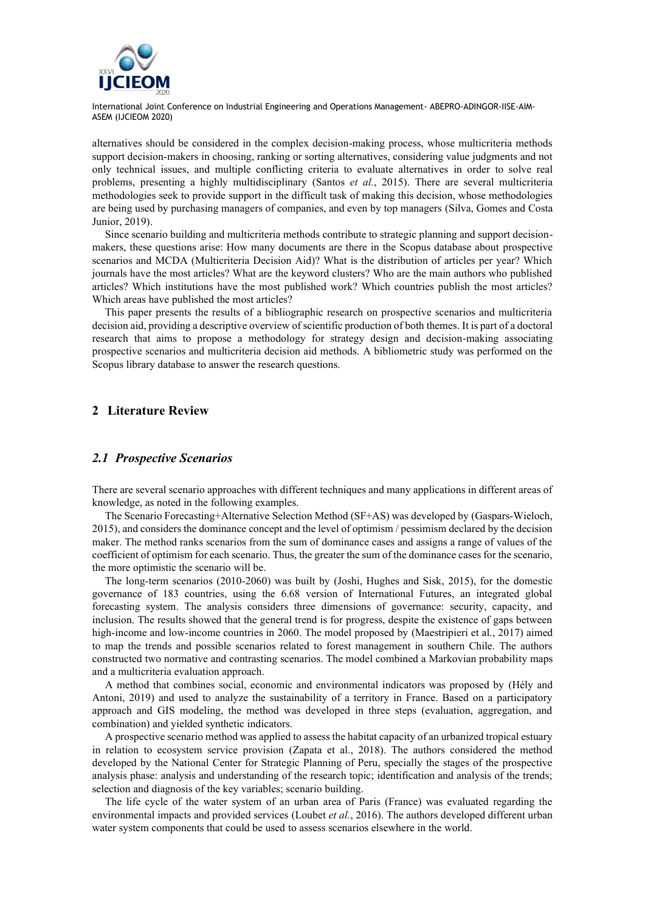

alternatives should be considered in the complex decision-making process, whose multicriteria methods support decision-makers in choosing, ranking or sorting alternatives, considering value judgments and not only technical issues, and multiple conflicting criteria to evaluate alternatives in order to solve real problems, presenting a highly multidisciplinary (Santos *et al.*, 2015). There are several multicriteria methodologies seek to provide support in the difficult task of making this decision, whose methodologies are being used by purchasing managers of companies, and even by top managers (Silva, Gomes and Costa Junior, 2019).

Since scenario building and multicriteria methods contribute to strategic planning and support decisionmakers, these questions arise: How many documents are there in the Scopus database about prospective scenarios and MCDA (Multicriteria Decision Aid)? What is the distribution of articles per year? Which journals have the most articles? What are the keyword clusters? Who are the main authors who published articles? Which institutions have the most published work? Which countries publish the most articles? Which areas have published the most articles?

This paper presents the results of a bibliographic research on prospective scenarios and multicriteria decision aid, providing a descriptive overview of scientific production of both themes. It is part of a doctoral research that aims to propose a methodology for strategy design and decision-making associating prospective scenarios and multicriteria decision aid methods. A bibliometric study was performed on the Scopus library database to answer the research questions.

### **2 Literature Review**

#### *2.1 Prospective Scenarios*

There are several scenario approaches with different techniques and many applications in different areas of knowledge, as noted in the following examples.

The Scenario Forecasting+Alternative Selection Method (SF+AS) was developed by (Gaspars-Wieloch, 2015), and considers the dominance concept and the level of optimism / pessimism declared by the decision maker. The method ranks scenarios from the sum of dominance cases and assigns a range of values of the coefficient of optimism for each scenario. Thus, the greater the sum of the dominance cases for the scenario, the more optimistic the scenario will be.

The long-term scenarios (2010-2060) was built by (Joshi, Hughes and Sisk, 2015), for the domestic governance of 183 countries, using the 6.68 version of International Futures, an integrated global forecasting system. The analysis considers three dimensions of governance: security, capacity, and inclusion. The results showed that the general trend is for progress, despite the existence of gaps between high-income and low-income countries in 2060. The model proposed by (Maestripieri et al., 2017) aimed to map the trends and possible scenarios related to forest management in southern Chile. The authors constructed two normative and contrasting scenarios. The model combined a Markovian probability maps and a multicriteria evaluation approach.

A method that combines social, economic and environmental indicators was proposed by (Hély and Antoni, 2019) and used to analyze the sustainability of a territory in France. Based on a participatory approach and GIS modeling, the method was developed in three steps (evaluation, aggregation, and combination) and yielded synthetic indicators.

A prospective scenario method was applied to assess the habitat capacity of an urbanized tropical estuary in relation to ecosystem service provision (Zapata et al., 2018). The authors considered the method developed by the National Center for Strategic Planning of Peru, specially the stages of the prospective analysis phase: analysis and understanding of the research topic; identification and analysis of the trends; selection and diagnosis of the key variables; scenario building.

The life cycle of the water system of an urban area of Paris (France) was evaluated regarding the environmental impacts and provided services (Loubet *et al.*, 2016). The authors developed different urban water system components that could be used to assess scenarios elsewhere in the world.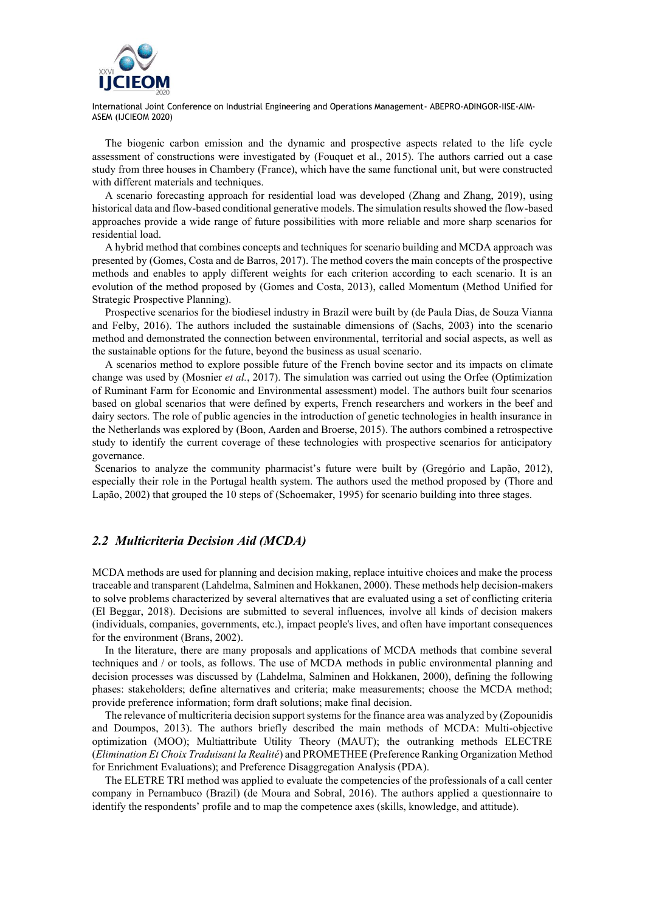

The biogenic carbon emission and the dynamic and prospective aspects related to the life cycle assessment of constructions were investigated by (Fouquet et al., 2015). The authors carried out a case study from three houses in Chambery (France), which have the same functional unit, but were constructed with different materials and techniques.

A scenario forecasting approach for residential load was developed (Zhang and Zhang, 2019), using historical data and flow-based conditional generative models. The simulation results showed the flow-based approaches provide a wide range of future possibilities with more reliable and more sharp scenarios for residential load.

A hybrid method that combines concepts and techniques for scenario building and MCDA approach was presented by (Gomes, Costa and de Barros, 2017). The method covers the main concepts of the prospective methods and enables to apply different weights for each criterion according to each scenario. It is an evolution of the method proposed by (Gomes and Costa, 2013), called Momentum (Method Unified for Strategic Prospective Planning).

Prospective scenarios for the biodiesel industry in Brazil were built by (de Paula Dias, de Souza Vianna and Felby, 2016). The authors included the sustainable dimensions of (Sachs, 2003) into the scenario method and demonstrated the connection between environmental, territorial and social aspects, as well as the sustainable options for the future, beyond the business as usual scenario.

A scenarios method to explore possible future of the French bovine sector and its impacts on climate change was used by (Mosnier *et al.*, 2017). The simulation was carried out using the Orfee (Optimization of Ruminant Farm for Economic and Environmental assessment) model. The authors built four scenarios based on global scenarios that were defined by experts, French researchers and workers in the beef and dairy sectors. The role of public agencies in the introduction of genetic technologies in health insurance in the Netherlands was explored by (Boon, Aarden and Broerse, 2015). The authors combined a retrospective study to identify the current coverage of these technologies with prospective scenarios for anticipatory governance.

Scenarios to analyze the community pharmacist's future were built by (Gregório and Lapão, 2012), especially their role in the Portugal health system. The authors used the method proposed by (Thore and Lapão, 2002) that grouped the 10 steps of (Schoemaker, 1995) for scenario building into three stages.

#### *2.2 Multicriteria Decision Aid (MCDA)*

MCDA methods are used for planning and decision making, replace intuitive choices and make the process traceable and transparent (Lahdelma, Salminen and Hokkanen, 2000). These methods help decision-makers to solve problems characterized by several alternatives that are evaluated using a set of conflicting criteria (El Beggar, 2018). Decisions are submitted to several influences, involve all kinds of decision makers (individuals, companies, governments, etc.), impact people's lives, and often have important consequences for the environment (Brans, 2002).

In the literature, there are many proposals and applications of MCDA methods that combine several techniques and / or tools, as follows. The use of MCDA methods in public environmental planning and decision processes was discussed by (Lahdelma, Salminen and Hokkanen, 2000), defining the following phases: stakeholders; define alternatives and criteria; make measurements; choose the MCDA method; provide preference information; form draft solutions; make final decision.

The relevance of multicriteria decision support systems for the finance area was analyzed by (Zopounidis and Doumpos, 2013). The authors briefly described the main methods of MCDA: Multi-objective optimization (MOO); Multiattribute Utility Theory (MAUT); the outranking methods ELECTRE (*Elimination Et Choix Traduisant la Realité*) and PROMETHEE (Preference Ranking Organization Method for Enrichment Evaluations); and Preference Disaggregation Analysis (PDA).

The ELETRE TRI method was applied to evaluate the competencies of the professionals of a call center company in Pernambuco (Brazil) (de Moura and Sobral, 2016). The authors applied a questionnaire to identify the respondents' profile and to map the competence axes (skills, knowledge, and attitude).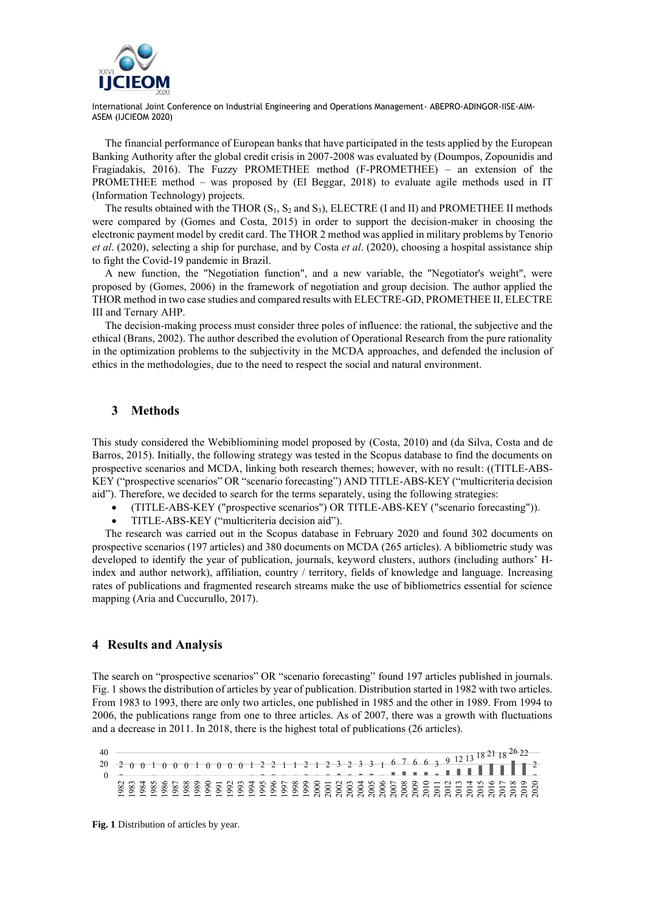

The financial performance of European banks that have participated in the tests applied by the European Banking Authority after the global credit crisis in 2007-2008 was evaluated by (Doumpos, Zopounidis and Fragiadakis, 2016). The Fuzzy PROMETHEE method (F-PROMETHEE) – an extension of the PROMETHEE method – was proposed by (El Beggar, 2018) to evaluate agile methods used in IT (Information Technology) projects.

The results obtained with the THOR  $(S_1, S_2 \text{ and } S_3)$ , ELECTRE (I and II) and PROMETHEE II methods were compared by (Gomes and Costa, 2015) in order to support the decision-maker in choosing the electronic payment model by credit card. The THOR 2 method was applied in military problems by Tenorio *et al*. (2020), selecting a ship for purchase, and by Costa *et al*. (2020), choosing a hospital assistance ship to fight the Covid-19 pandemic in Brazil.

A new function, the "Negotiation function", and a new variable, the "Negotiator's weight", were proposed by (Gomes, 2006) in the framework of negotiation and group decision. The author applied the THOR method in two case studies and compared results with ELECTRE-GD, PROMETHEE II, ELECTRE III and Ternary AHP.

The decision-making process must consider three poles of influence: the rational, the subjective and the ethical (Brans, 2002). The author described the evolution of Operational Research from the pure rationality in the optimization problems to the subjectivity in the MCDA approaches, and defended the inclusion of ethics in the methodologies, due to the need to respect the social and natural environment.

## **3 Methods**

This study considered the Webibliomining model proposed by (Costa, 2010) and (da Silva, Costa and de Barros, 2015). Initially, the following strategy was tested in the Scopus database to find the documents on prospective scenarios and MCDA, linking both research themes; however, with no result: ((TITLE-ABS-KEY ("prospective scenarios" OR "scenario forecasting") AND TITLE-ABS-KEY ("multicriteria decision aid"). Therefore, we decided to search for the terms separately, using the following strategies:

- (TITLE-ABS-KEY ("prospective scenarios") OR TITLE-ABS-KEY ("scenario forecasting")).
- TITLE-ABS-KEY ("multicriteria decision aid").

The research was carried out in the Scopus database in February 2020 and found 302 documents on prospective scenarios (197 articles) and 380 documents on MCDA (265 articles). A bibliometric study was developed to identify the year of publication, journals, keyword clusters, authors (including authors' Hindex and author network), affiliation, country / territory, fields of knowledge and language. Increasing rates of publications and fragmented research streams make the use of bibliometrics essential for science mapping (Aria and Cuccurullo, 2017).

#### **4 Results and Analysis**

The search on "prospective scenarios" OR "scenario forecasting" found 197 articles published in journals. Fig. 1 shows the distribution of articles by year of publication. Distribution started in 1982 with two articles. From 1983 to 1993, there are only two articles, one published in 1985 and the other in 1989. From 1994 to 2006, the publications range from one to three articles. As of 2007, there was a growth with fluctuations and a decrease in 2011. In 2018, there is the highest total of publications (26 articles).

| 40<br>20 2 0 1 0 0 0 1 0 0 0 1 2 2 1 1 2 1 2 3 2 3 3 1 6 7 6 6 3 9 12 13 18 21 18 $^{26}$ 22<br>0 - |  |  |  |  |  |  |  |  |  |  |  |  |  |  |  |  |  |  |  |                                                                            |
|-----------------------------------------------------------------------------------------------------|--|--|--|--|--|--|--|--|--|--|--|--|--|--|--|--|--|--|--|----------------------------------------------------------------------------|
|                                                                                                     |  |  |  |  |  |  |  |  |  |  |  |  |  |  |  |  |  |  |  |                                                                            |
|                                                                                                     |  |  |  |  |  |  |  |  |  |  |  |  |  |  |  |  |  |  |  |                                                                            |
|                                                                                                     |  |  |  |  |  |  |  |  |  |  |  |  |  |  |  |  |  |  |  |                                                                            |
|                                                                                                     |  |  |  |  |  |  |  |  |  |  |  |  |  |  |  |  |  |  |  | 53 53 53 53 53 53 53 53 53 53 55 63 63 63 63 63 63 63 63 64 75 76 76 78 78 |
|                                                                                                     |  |  |  |  |  |  |  |  |  |  |  |  |  |  |  |  |  |  |  |                                                                            |
|                                                                                                     |  |  |  |  |  |  |  |  |  |  |  |  |  |  |  |  |  |  |  |                                                                            |

**Fig. 1** Distribution of articles by year.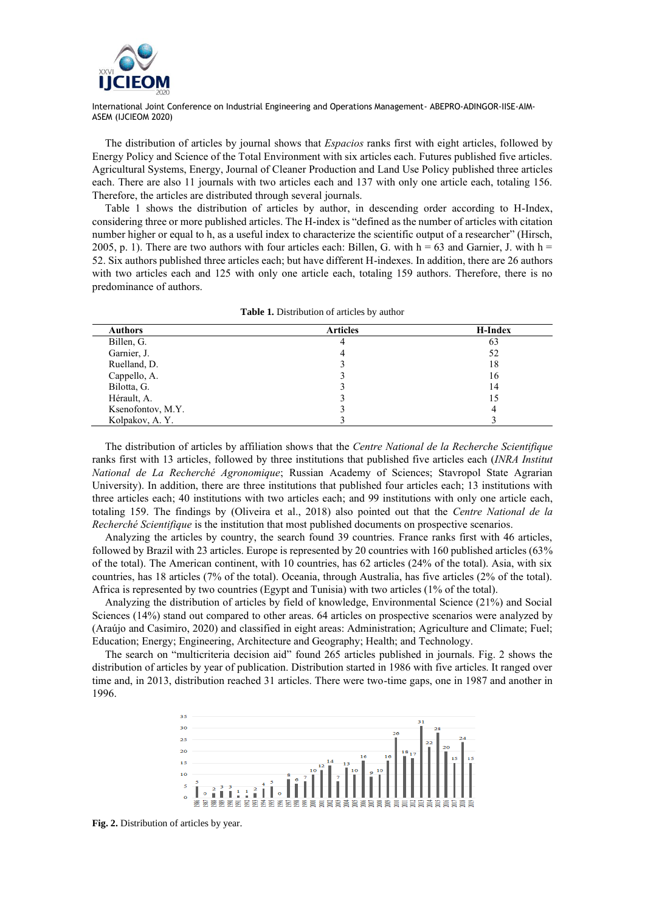

The distribution of articles by journal shows that *Espacios* ranks first with eight articles, followed by Energy Policy and Science of the Total Environment with six articles each. Futures published five articles. Agricultural Systems, Energy, Journal of Cleaner Production and Land Use Policy published three articles each. There are also 11 journals with two articles each and 137 with only one article each, totaling 156. Therefore, the articles are distributed through several journals.

Table 1 shows the distribution of articles by author, in descending order according to H-Index, considering three or more published articles. The H-index is "defined as the number of articles with citation number higher or equal to h, as a useful index to characterize the scientific output of a researcher" (Hirsch, 2005, p. 1). There are two authors with four articles each: Billen, G. with  $h = 63$  and Garnier, J. with  $h =$ 52. Six authors published three articles each; but have different H-indexes. In addition, there are 26 authors with two articles each and 125 with only one article each, totaling 159 authors. Therefore, there is no predominance of authors.

| <b>Authors</b>    | <b>Articles</b> | H-Index |
|-------------------|-----------------|---------|
| Billen, G.        | 4               | 63      |
| Garnier, J.       | 4               | 52      |
| Ruelland, D.      |                 | 18      |
| Cappello, A.      |                 | 16      |
| Bilotta, G.       |                 | 14      |
| Hérault, A.       |                 |         |
| Ksenofontov, M.Y. |                 |         |
| Kolpakov, A.Y.    |                 |         |

**Table 1.** Distribution of articles by author

The distribution of articles by affiliation shows that the *Centre National de la Recherche Scientifique* ranks first with 13 articles, followed by three institutions that published five articles each (*INRA Institut National de La Recherché Agronomique*; Russian Academy of Sciences; Stavropol State Agrarian University). In addition, there are three institutions that published four articles each; 13 institutions with three articles each; 40 institutions with two articles each; and 99 institutions with only one article each, totaling 159. The findings by (Oliveira et al., 2018) also pointed out that the *Centre National de la Recherché Scientifique* is the institution that most published documents on prospective scenarios.

Analyzing the articles by country, the search found 39 countries. France ranks first with 46 articles, followed by Brazil with 23 articles. Europe is represented by 20 countries with 160 published articles (63% of the total). The American continent, with 10 countries, has 62 articles (24% of the total). Asia, with six countries, has 18 articles (7% of the total). Oceania, through Australia, has five articles (2% of the total). Africa is represented by two countries (Egypt and Tunisia) with two articles (1% of the total).

Analyzing the distribution of articles by field of knowledge, Environmental Science (21%) and Social Sciences (14%) stand out compared to other areas. 64 articles on prospective scenarios were analyzed by (Araújo and Casimiro, 2020) and classified in eight areas: Administration; Agriculture and Climate; Fuel; Education; Energy; Engineering, Architecture and Geography; Health; and Technology.

The search on "multicriteria decision aid" found 265 articles published in journals. Fig. 2 shows the distribution of articles by year of publication. Distribution started in 1986 with five articles. It ranged over time and, in 2013, distribution reached 31 articles. There were two-time gaps, one in 1987 and another in 1996.



**Fig. 2.** Distribution of articles by year.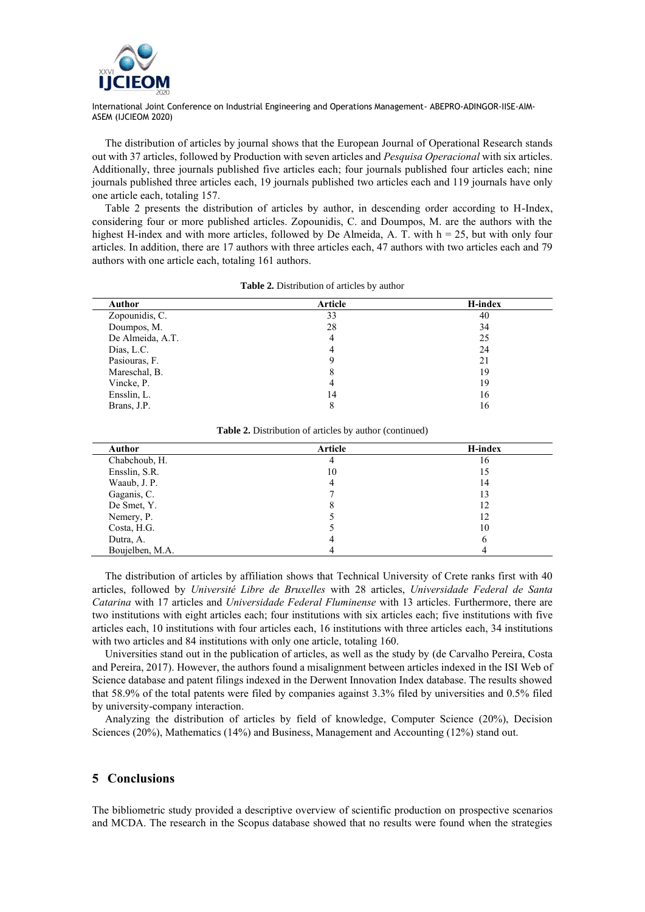

The distribution of articles by journal shows that the European Journal of Operational Research stands out with 37 articles, followed by Production with seven articles and *Pesquisa Operacional* with six articles. Additionally, three journals published five articles each; four journals published four articles each; nine journals published three articles each, 19 journals published two articles each and 119 journals have only one article each, totaling 157.

Table 2 presents the distribution of articles by author, in descending order according to H-Index, considering four or more published articles. Zopounidis, C. and Doumpos, M. are the authors with the highest H-index and with more articles, followed by De Almeida, A. T. with  $h = 25$ , but with only four articles. In addition, there are 17 authors with three articles each, 47 authors with two articles each and 79 authors with one article each, totaling 161 authors.

| Author           | Article | H-index |
|------------------|---------|---------|
| Zopounidis, C.   | 33      | 40      |
| Doumpos, M.      | 28      | 34      |
| De Almeida, A.T. | 4       | 25      |
| Dias, L.C.       | 4       | 24      |
| Pasiouras, F.    |         | 21      |
| Mareschal, B.    |         | 19      |
| Vincke, P.       | 4       | 19      |
| Ensslin, L.      | 14      | 16      |
| Brans, J.P.      |         | 16      |

| <b>Table 2.</b> Distribution of articles by author |  |  |  |
|----------------------------------------------------|--|--|--|
|----------------------------------------------------|--|--|--|

| Author          | Article | H-index |
|-----------------|---------|---------|
| Chabchoub, H.   | 4       | 16      |
| Ensslin, S.R.   | 10      | 15      |
| Waaub, J. P.    | 4       | 14      |
| Gaganis, C.     |         | 13      |
| De Smet, Y.     |         | 12      |
| Nemery, P.      |         | 12      |
| Costa, H.G.     |         | 10      |
| Dutra, A.       | 4       |         |
| Boujelben, M.A. |         |         |

**Table 2.** Distribution of articles by author (continued)

The distribution of articles by affiliation shows that Technical University of Crete ranks first with 40 articles, followed by *Université Libre de Bruxelles* with 28 articles, *Universidade Federal de Santa Catarina* with 17 articles and *Universidade Federal Fluminense* with 13 articles. Furthermore, there are two institutions with eight articles each; four institutions with six articles each; five institutions with five articles each, 10 institutions with four articles each, 16 institutions with three articles each, 34 institutions with two articles and 84 institutions with only one article, totaling 160.

Universities stand out in the publication of articles, as well as the study by (de Carvalho Pereira, Costa and Pereira, 2017). However, the authors found a misalignment between articles indexed in the ISI Web of Science database and patent filings indexed in the Derwent Innovation Index database. The results showed that 58.9% of the total patents were filed by companies against 3.3% filed by universities and 0.5% filed by university-company interaction.

Analyzing the distribution of articles by field of knowledge, Computer Science (20%), Decision Sciences (20%), Mathematics (14%) and Business, Management and Accounting (12%) stand out.

#### **5 Conclusions**

The bibliometric study provided a descriptive overview of scientific production on prospective scenarios and MCDA. The research in the Scopus database showed that no results were found when the strategies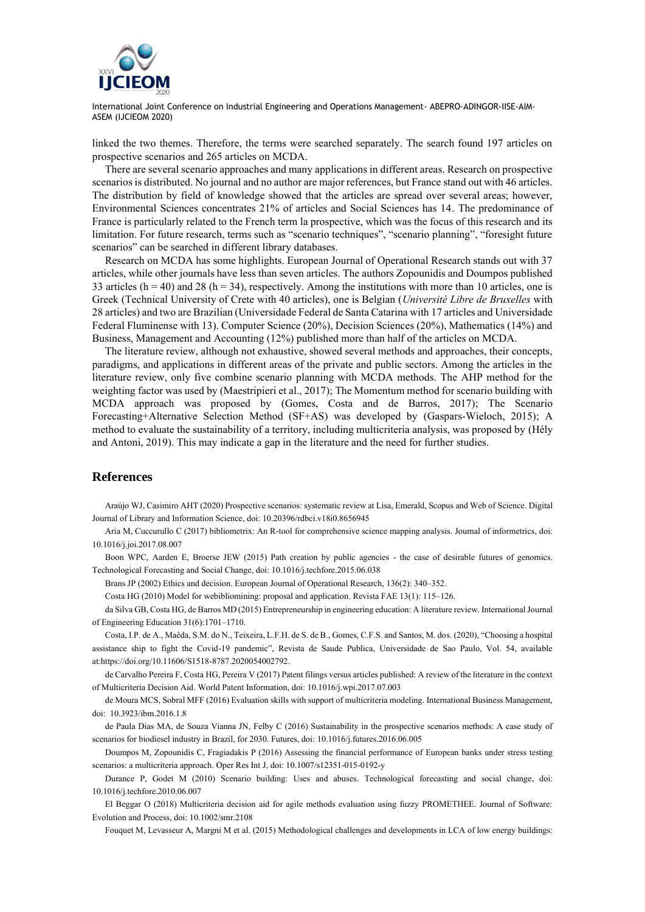

linked the two themes. Therefore, the terms were searched separately. The search found 197 articles on prospective scenarios and 265 articles on MCDA.

There are several scenario approaches and many applications in different areas. Research on prospective scenarios is distributed. No journal and no author are major references, but France stand out with 46 articles. The distribution by field of knowledge showed that the articles are spread over several areas; however, Environmental Sciences concentrates 21% of articles and Social Sciences has 14. The predominance of France is particularly related to the French term la prospective, which was the focus of this research and its limitation. For future research, terms such as "scenario techniques", "scenario planning", "foresight future scenarios" can be searched in different library databases.

Research on MCDA has some highlights. European Journal of Operational Research stands out with 37 articles, while other journals have less than seven articles. The authors Zopounidis and Doumpos published 33 articles ( $h = 40$ ) and 28 ( $h = 34$ ), respectively. Among the institutions with more than 10 articles, one is Greek (Technical University of Crete with 40 articles), one is Belgian (*Université Libre de Bruxelles* with 28 articles) and two are Brazilian (Universidade Federal de Santa Catarina with 17 articles and Universidade Federal Fluminense with 13). Computer Science (20%), Decision Sciences (20%), Mathematics (14%) and Business, Management and Accounting (12%) published more than half of the articles on MCDA.

The literature review, although not exhaustive, showed several methods and approaches, their concepts, paradigms, and applications in different areas of the private and public sectors. Among the articles in the literature review, only five combine scenario planning with MCDA methods. The AHP method for the weighting factor was used by (Maestripieri et al., 2017); The Momentum method for scenario building with MCDA approach was proposed by (Gomes, Costa and de Barros, 2017); The Scenario Forecasting+Alternative Selection Method (SF+AS) was developed by (Gaspars-Wieloch, 2015); A method to evaluate the sustainability of a territory, including multicriteria analysis, was proposed by (Hély and Antoni, 2019). This may indicate a gap in the literature and the need for further studies.

#### **References**

Araújo WJ, Casimiro AHT (2020) Prospective scenarios: systematic review at Lisa, Emerald, Scopus and Web of Science. Digital Journal of Library and Information Science, doi: 10.20396/rdbci.v18i0.8656945

Aria M, Cuccurullo C (2017) bibliometrix: An R-tool for comprehensive science mapping analysis. Journal of informetrics, doi: 10.1016/j.joi.2017.08.007

Boon WPC, Aarden E, Broerse JEW (2015) Path creation by public agencies - the case of desirable futures of genomics. Technological Forecasting and Social Change, doi: 10.1016/j.techfore.2015.06.038

Brans JP (2002) Ethics and decision. European Journal of Operational Research, 136(2): 340–352.

Costa HG (2010) Model for webibliomining: proposal and application. Revista FAE 13(1): 115–126.

da Silva GB, Costa HG, de Barros MD (2015) Entrepreneurship in engineering education: A literature review. International Journal of Engineering Education 31(6):1701–1710.

Costa, I.P. de A., Maêda, S.M. do N., Teixeira, L.F.H. de S. de B., Gomes, C.F.S. and Santos, M. dos. (2020), "Choosing a hospital assistance ship to fight the Covid-19 pandemic", Revista de Saude Publica, Universidade de Sao Paulo, Vol. 54, available at:https://doi.org/10.11606/S1518-8787.2020054002792.

de Carvalho Pereira F, Costa HG, Pereira V (2017) Patent filings versus articles published: A review of the literature in the context of Multicriteria Decision Aid. World Patent Information, doi: 10.1016/j.wpi.2017.07.003

de Moura MCS, Sobral MFF (2016) Evaluation skills with support of multicriteria modeling. International Business Management, doi: 10.3923/ibm.2016.1.8

de Paula Dias MA, de Souza Vianna JN, Felby C (2016) Sustainability in the prospective scenarios methods: A case study of scenarios for biodiesel industry in Brazil, for 2030. Futures, doi: 10.1016/j.futures.2016.06.005

Doumpos M, Zopounidis C, Fragiadakis P (2016) Assessing the financial performance of European banks under stress testing scenarios: a multicriteria approach. Oper Res Int J, doi: 10.1007/s12351-015-0192-y

Durance P, Godet M (2010) Scenario building: Uses and abuses. Technological forecasting and social change, doi: 10.1016/j.techfore.2010.06.007

El Beggar O (2018) Multicriteria decision aid for agile methods evaluation using fuzzy PROMETHEE. Journal of Software: Evolution and Process, doi: 10.1002/smr.2108

Fouquet M, Levasseur A, Margni M et al. (2015) Methodological challenges and developments in LCA of low energy buildings: